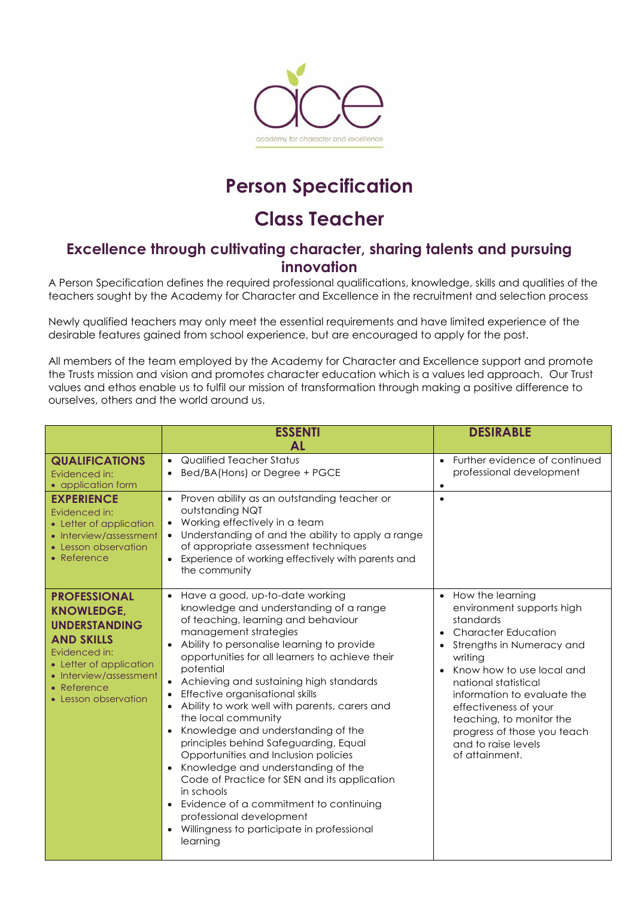

## **Person Specification**

## **Class Teacher**

## **Excellence through cultivating character, sharing talents and pursuing innovation**

A Person Specification defines the required professional qualifications, knowledge, skills and qualities of the teachers sought by the Academy for Character and Excellence in the recruitment and selection process

Newly qualified teachers may only meet the essential requirements and have limited experience of the desirable features gained from school experience, but are encouraged to apply for the post.

All members of the team employed by the Academy for Character and Excellence support and promote the Trusts mission and vision and promotes character education which is a values led approach. Our Trust values and ethos enable us to fulfil our mission of transformation through making a positive difference to ourselves, others and the world around us.

|                                                                                                                                                                                                    | <b>ESSENTI</b><br>Αl                                                                                                                                                                                                                                                                                                                                                                                                                                                                                                                                                                                                                                                                                                                                                         | <b>DESIRABLE</b>                                                                                                                                                                                                                                                                                                                                                 |
|----------------------------------------------------------------------------------------------------------------------------------------------------------------------------------------------------|------------------------------------------------------------------------------------------------------------------------------------------------------------------------------------------------------------------------------------------------------------------------------------------------------------------------------------------------------------------------------------------------------------------------------------------------------------------------------------------------------------------------------------------------------------------------------------------------------------------------------------------------------------------------------------------------------------------------------------------------------------------------------|------------------------------------------------------------------------------------------------------------------------------------------------------------------------------------------------------------------------------------------------------------------------------------------------------------------------------------------------------------------|
| <b>QUALIFICATIONS</b><br>Evidenced in:<br>• application form                                                                                                                                       | Qualified Teacher Status<br>$\bullet$<br>Bed/BA(Hons) or Degree + PGCE                                                                                                                                                                                                                                                                                                                                                                                                                                                                                                                                                                                                                                                                                                       | Further evidence of continued<br>$\bullet$<br>professional development                                                                                                                                                                                                                                                                                           |
| <b>EXPERIENCE</b><br>Evidenced in:<br>• Letter of application<br>• Interview/assessment<br>• Lesson observation<br>• Reference                                                                     | Proven ability as an outstanding teacher or<br>outstanding NQT<br>Working effectively in a team<br>$\bullet$<br>Understanding of and the ability to apply a range<br>$\bullet$<br>of appropriate assessment techniques<br>Experience of working effectively with parents and<br>$\bullet$<br>the community                                                                                                                                                                                                                                                                                                                                                                                                                                                                   | $\bullet$                                                                                                                                                                                                                                                                                                                                                        |
| <b>PROFESSIONAL</b><br><b>KNOWLEDGE,</b><br><b>UNDERSTANDING</b><br><b>AND SKILLS</b><br>Evidenced in:<br>• Letter of application<br>• Interview/assessment<br>• Reference<br>• Lesson observation | • Have a good, up-to-date working<br>knowledge and understanding of a range<br>of teaching, learning and behaviour<br>management strategies<br>Ability to personalise learning to provide<br>opportunities for all learners to achieve their<br>potential<br>• Achieving and sustaining high standards<br>Effective organisational skills<br>Ability to work well with parents, carers and<br>the local community<br>Knowledge and understanding of the<br>principles behind Safeguarding, Equal<br>Opportunities and Inclusion policies<br>Knowledge and understanding of the<br>Code of Practice for SEN and its application<br>in schools<br>Evidence of a commitment to continuing<br>professional development<br>Willingness to participate in professional<br>learning | • How the learning<br>environment supports high<br>standards<br><b>Character Education</b><br>Strengths in Numeracy and<br>writing<br>Know how to use local and<br>$\bullet$<br>national statistical<br>information to evaluate the<br>effectiveness of your<br>teaching, to monitor the<br>progress of those you teach<br>and to raise levels<br>of attainment. |